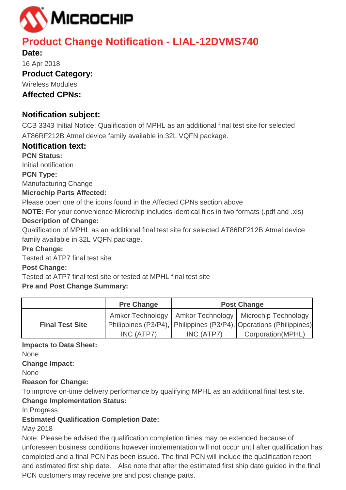

# **Product Change Notification - LIAL-12DVMS740**

**Date:** 16 Apr 2018 **Product Category:**  Wireless Modules **Affected CPNs:**

# **Notification subject:**

CCB 3343 Initial Notice: Qualification of MPHL as an additional final test site for selected AT86RF212B Atmel device family available in 32L VQFN package.

# **Notification text:**

**PCN Status:**  Initial notification

**PCN Type:**

Manufacturing Change

# **Microchip Parts Affected:**

Please open one of the icons found in the Affected CPNs section above

**NOTE:** For your convenience Microchip includes identical files in two formats (.pdf and .xls)

# **Description of Change:**

Qualification of MPHL as an additional final test site for selected AT86RF212B Atmel device family available in 32L VQFN package.

# **Pre Change:**

Tested at ATP7 final test site

# **Post Change:**

Tested at ATP7 final test site or tested at MPHL final test site

# **Pre and Post Change Summary:**

|                        | <b>Pre Change</b> | <b>Post Change</b> |                                                                                                                                      |  |  |  |  |
|------------------------|-------------------|--------------------|--------------------------------------------------------------------------------------------------------------------------------------|--|--|--|--|
| <b>Final Test Site</b> |                   |                    | Amkor Technology   Amkor Technology   Microchip Technology<br>Philippines (P3/P4),   Philippines (P3/P4),   Operations (Philippines) |  |  |  |  |
|                        | INC (ATP7)        | INC (ATP7)         | Corporation (MPHL)                                                                                                                   |  |  |  |  |

# **Impacts to Data Sheet:**

None

**Change Impact:**

None

# **Reason for Change:**

To improve on-time delivery performance by qualifying MPHL as an additional final test site.

# **Change Implementation Status:**

In Progress

# **Estimated Qualification Completion Date:**

May 2018

Note: Please be advised the qualification completion times may be extended because of unforeseen business conditions however implementation will not occur until after qualification has completed and a final PCN has been issued. The final PCN will include the qualification report and estimated first ship date. Also note that after the estimated first ship date guided in the final PCN customers may receive pre and post change parts.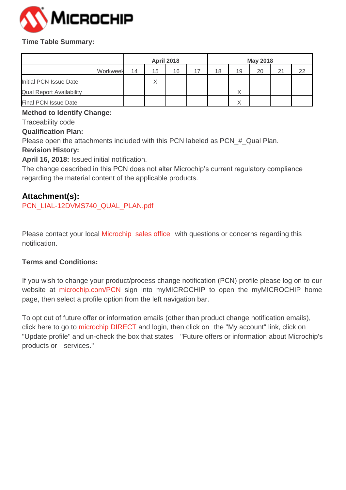

#### **Time Table Summary:**

|                                 |          | <b>April 2018</b> |                   |    |  | <b>May 2018</b> |              |    |    |    |
|---------------------------------|----------|-------------------|-------------------|----|--|-----------------|--------------|----|----|----|
|                                 | Workweek | 14                | 15                | 16 |  | 18              | 19           | 20 | 21 | 22 |
| Initial PCN Issue Date          |          |                   | $\checkmark$<br>∧ |    |  |                 |              |    |    |    |
| <b>Qual Report Availability</b> |          |                   |                   |    |  |                 |              |    |    |    |
| <b>Final PCN Issue Date</b>     |          |                   |                   |    |  |                 | $\checkmark$ |    |    |    |

#### **Method to Identify Change:**

Traceability code

#### **Qualification Plan:**

Please open the attachments included with this PCN labeled as PCN\_#\_Qual Plan.

# **Revision History:**

**April 16, 2018:** Issued initial notification.

The change described in this PCN does not alter Microchip's current regulatory compliance regarding the material content of the applicable products.

# **Attachment(s):**

[PCN\\_LIAL-12DVMS740\\_QUAL\\_PLAN.pdf](https://www.microchip.com/mymicrochip/NotificationDetails.aspx?id=10035&file=PCN_LIAL-12DVMS740_QUAL_PLAN.pdf)

Please contact your local Microchip sales office with questions or concerns regarding this notification.

# **Terms and Conditions:**

If you wish to change your product/process change notification (PCN) profile please log on to our website at microchip.com/PCN sign into myMICROCHIP to open the myMICROCHIP home page, then select a profile option from the left navigation bar.

To opt out of future offer or information emails (other than product change notification emails), click here to go to microchip DIRECT and login, then click on the "My account" link, click on "Update profile" and un-check the box that states "Future offers or information about Microchip's products or services."